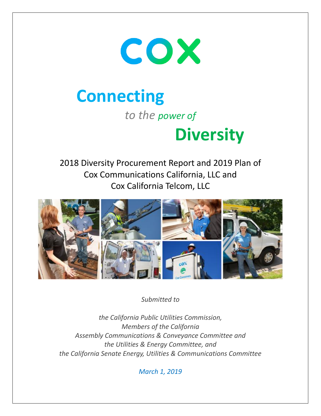

# **Connecting**

*to the power of*

# **Diversity**

2018 Diversity Procurement Report and 2019 Plan of Cox Communications California, LLC and Cox California Telcom, LLC



*Submitted to* 

*the California Public Utilities Commission, Members of the California Assembly Communications & Conveyance Committee and the Utilities & Energy Committee, and the California Senate Energy, Utilities & Communications Committee* 

*March 1, 2019*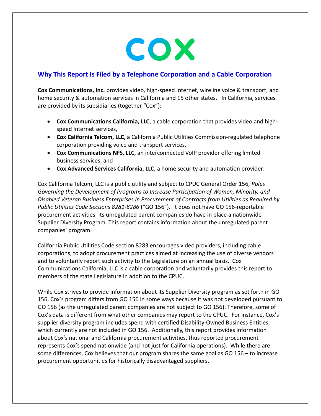

# **Why This Report Is Filed by a Telephone Corporation and a Cable Corporation**

**Cox Communications, Inc.** provides video, high-speed Internet, wireline voice & transport, and home security & automation services in California and 15 other states. In California, services are provided by its subsidiaries (together "Cox"):

- **Cox Communications California, LLC**, a cable corporation that provides video and highspeed Internet services,
- **Cox California Telcom, LLC**, a California Public Utilities Commission-regulated telephone corporation providing voice and transport services,
- **Cox Communications NFS, LLC**, an interconnected VoIP provider offering limited business services, and
- **Cox Advanced Services California, LLC**, a home security and automation provider.

Cox California Telcom, LLC is a public utility and subject to CPUC General Order 156, *Rules Governing the Development of Programs to Increase Participation of Women, Minority, and Disabled Veteran Business Enterprises in Procurement of Contracts from Utilities as Required by Public Utilities Code Sections 8281-8286* ("GO 156")*.* It does not have GO 156-reportable procurement activities. Its unregulated parent companies do have in place a nationwide Supplier Diversity Program. This report contains information about the unregulated parent companies' program.

California Public Utilities Code section 8283 encourages video providers, including cable corporations, to adopt procurement practices aimed at increasing the use of diverse vendors and to voluntarily report such activity to the Legislature on an annual basis. Cox Communications California, LLC is a cable corporation and voluntarily provides this report to members of the state Legislature in addition to the CPUC.

While Cox strives to provide information about its Supplier Diversity program as set forth in GO 156, Cox's program differs from GO 156 in some ways because it was not developed pursuant to GO 156 (as the unregulated parent companies are not subject to GO 156). Therefore, some of Cox's data is different from what other companies may report to the CPUC. For instance, Cox's supplier diversity program includes spend with certified Disability-Owned Business Entities, which currently are not included in GO 156. Additionally, this report provides information about Cox's national and California procurement activities, thus reported procurement represents Cox's spend nationwide (and not just for California operations). While there are some differences, Cox believes that our program shares the same goal as GO 156 – to increase procurement opportunities for historically disadvantaged suppliers.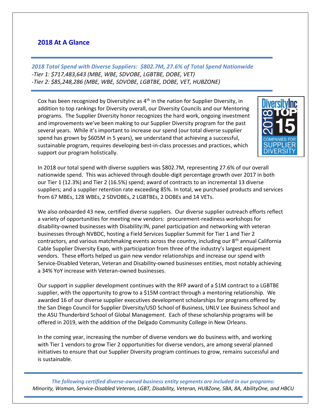# **2018 At A Glance**

*2018 Total Spend with Diverse Suppliers: \$802.7M, 27.6% of Total Spend Nationwide -Tier 1: \$717,483,643 (MBE, WBE, SDVOBE, LGBTBE, DOBE, VET) -Tier 2: \$85,248,286 (MBE, WBE, SDVOBE, LGBTBE, DOBE, VET, HUBZONE)*

Cox has been recognized by DiversityInc as 4<sup>th</sup> in the nation for Supplier Diversity, in addition to top rankings for Diversity overall, our Diversity Councils and our Mentoring programs. The Supplier Diversity honor recognizes the hard work, ongoing investment and improvements we've been making to our Supplier Diversity program for the past several years. While it's important to increase our spend (our total diverse supplier spend has grown by \$605M in 5 years), we understand that achieving a successful, sustainable program, requires developing best-in-class processes and practices, which support our program holistically.



In 2018 our total spend with diverse suppliers was \$802.7M, representing 27.6% of our overall nationwide spend. This was achieved through double-digit percentage growth over 2017 in both our Tier 1 (12.3%) and Tier 2 (16.5%) spend; award of contracts to an incremental 13 diverse suppliers; and a supplier retention rate exceeding 85%. In total, we purchased products and services from 67 MBEs, 128 WBEs, 2 SDVOBEs, 2 LGBTBEs, 2 DOBEs and 14 VETs.

We also onboarded 43 new, certified diverse suppliers. Our diverse supplier outreach efforts reflect a variety of opportunities for meeting new vendors: procurement-readiness workshops for disability-owned businesses with Disability:IN, panel participation and networking with veteran businesses through NVBDC, hosting a Field Services Supplier Summit for Tier 1 and Tier 2 contractors, and various matchmaking events across the country, including our  $8<sup>th</sup>$  annual California Cable Supplier Diversity Expo, with participation from three of the industry's largest equipment vendors. These efforts helped us gain new vendor relationships and increase our spend with Service-Disabled Veteran, Veteran and Disability-owned businesses entities, most notably achieving a 34% YoY increase with Veteran-owned businesses.

Our support in supplier development continues with the RFP award of a \$1M contract to a LGBTBE supplier, with the opportunity to grow to a \$15M contract through a mentoring relationship. We awarded 16 of our diverse supplier executives development scholarships for programs offered by the San Diego Council for Supplier Diversity/USD School of Business, UNLV Lee Business School and the ASU Thunderbird School of Global Management. Each of these scholarship programs will be offered in 2019, with the addition of the Delgado Community College in New Orleans.

In the coming year, increasing the number of diverse vendors we do business with, and working with Tier 1 vendors to grow Tier 2 opportunities for diverse vendors, are among several planned initiatives to ensure that our Supplier Diversity program continues to grow, remains successful and is sustainable.

*The following certified diverse-owned business entity segments are included in our programs: Minority, Woman, Service-Disabled Veteran, LGBT, Disability, Veteran, HUBZone, SBA, 8A, AbilityOne, and HBCU*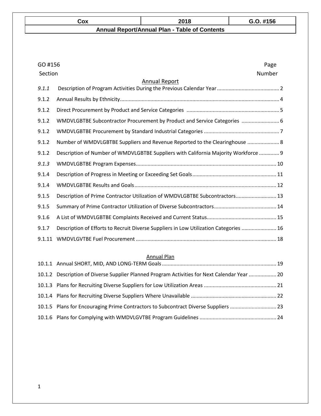| Cox | 2018                                                 | $G.O.$ #156 |
|-----|------------------------------------------------------|-------------|
|     | <b>Annual Report/Annual Plan - Table of Contents</b> |             |

| GO #156 | Page                                                                                  |
|---------|---------------------------------------------------------------------------------------|
| Section | Number                                                                                |
|         | <b>Annual Report</b>                                                                  |
| 9.1.1   |                                                                                       |
| 9.1.2   |                                                                                       |
| 9.1.2   |                                                                                       |
| 9.1.2   | WMDVLGBTBE Subcontractor Procurement by Product and Service Categories  6             |
| 9.1.2   |                                                                                       |
| 9.1.2   | Number of WMDVLGBTBE Suppliers and Revenue Reported to the Clearinghouse  8           |
| 9.1.2   | Description of Number of WMDVLGBTBE Suppliers with California Majority Workforce  9   |
| 9.1.3   |                                                                                       |
| 9.1.4   |                                                                                       |
| 9.1.4   |                                                                                       |
| 9.1.5   | Description of Prime Contractor Utilization of WMDVLGBTBE Subcontractors 13           |
| 9.1.5   |                                                                                       |
| 9.1.6   |                                                                                       |
| 9.1.7   | Description of Efforts to Recruit Diverse Suppliers in Low Utilization Categories  16 |
| 9.1.11  |                                                                                       |

### Annual Plan

| 10.1.2 Description of Diverse Supplier Planned Program Activities for Next Calendar Year  20 |  |
|----------------------------------------------------------------------------------------------|--|
|                                                                                              |  |
|                                                                                              |  |
| 10.1.5 Plans for Encouraging Prime Contractors to Subcontract Diverse Suppliers  23          |  |
|                                                                                              |  |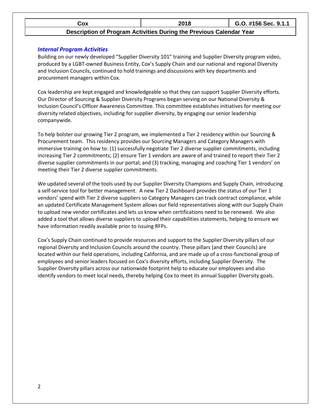| ۰ох | 2018 | 156 Sec. 9.1.1<br>- |
|-----|------|---------------------|
|     |      |                     |

#### **Description of Program Activities During the Previous Calendar Year**

#### *Internal Program Activities*

Building on our newly developed "Supplier Diversity 101" training and Supplier Diversity program video, produced by a LGBT-owned Business Entity, Cox's Supply Chain and our national and regional Diversity and Inclusion Councils, continued to hold trainings and discussions with key departments and procurement managers within Cox.

Cox leadership are kept engaged and knowledgeable so that they can support Supplier Diversity efforts. Our Director of Sourcing & Supplier Diversity Programs began serving on our National Diversity & Inclusion Council's Officer Awareness Committee. This committee establishes initiatives for meeting our diversity related objectives, including for supplier diversity, by engaging our senior leadership companywide.

To help bolster our growing Tier 2 program, we implemented a Tier 2 residency within our Sourcing & Procurement team. This residency provides our Sourcing Managers and Category Managers with immersive training on how to: (1) successfully negotiate Tier 2 diverse supplier commitments, including increasing Tier 2 commitments; (2) ensure Tier 1 vendors are aware of and trained to report their Tier 2 diverse supplier commitments in our portal; and (3) tracking, managing and coaching Tier 1 vendors' on meeting their Tier 2 diverse supplier commitments.

We updated several of the tools used by our Supplier Diversity Champions and Supply Chain, introducing a self-service tool for better management. A new Tier 2 Dashboard provides the status of our Tier 1 vendors' spend with Tier 2 diverse suppliers so Category Managers can track contract compliance, while an updated Certificate Management System allows our field representatives along with our Supply Chain to upload new vendor certificates and lets us know when certifications need to be renewed. We also added a tool that allows diverse suppliers to upload their capabilities statements, helping to ensure we have information readily available prior to issuing RFPs.

Cox's Supply Chain continued to provide resources and support to the Supplier Diversity pillars of our regional Diversity and Inclusion Councils around the country. These pillars (and their Councils) are located within our field operations, including California, and are made up of a cross-functional group of employees and senior leaders focused on Cox's diversity efforts, including Supplier Diversity. The Supplier Diversity pillars across our nationwide footprint help to educate our employees and also identify vendors to meet local needs, thereby helping Cox to meet its annual Supplier Diversity goals.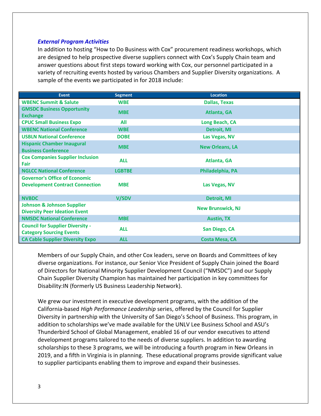#### *External Program Activities*

In addition to hosting "How to Do Business with Cox" procurement readiness workshops, which are designed to help prospective diverse suppliers connect with Cox's Supply Chain team and answer questions about first steps toward working with Cox, our personnel participated in a variety of recruiting events hosted by various Chambers and Supplier Diversity organizations. A sample of the events we participated in for 2018 include:

| Event                                                                          | <b>Segment</b> | <b>Location</b>          |
|--------------------------------------------------------------------------------|----------------|--------------------------|
| <b>WBENC Summit &amp; Salute</b>                                               | <b>WBE</b>     | <b>Dallas, Texas</b>     |
| <b>GMSDC Business Opportunity</b><br><b>Exchange</b>                           | <b>MBE</b>     | <b>Atlanta, GA</b>       |
| <b>CPUC Small Business Expo</b>                                                | All            | Long Beach, CA           |
| <b>WBENC National Conference</b>                                               | <b>WBE</b>     | <b>Detroit, MI</b>       |
| <b>USBLN National Conference</b>                                               | <b>DOBE</b>    | Las Vegas, NV            |
| <b>Hispanic Chamber Inaugural</b><br><b>Business Conference</b>                | <b>MBE</b>     | <b>New Orleans, LA</b>   |
| <b>Cox Companies Supplier Inclusion</b><br>Fair                                | <b>ALL</b>     | Atlanta, GA              |
| <b>NGLCC National Conference</b>                                               | <b>LGBTBE</b>  | Philadelphia, PA         |
| <b>Governor's Office of Economic</b><br><b>Development Contract Connection</b> | <b>MBE</b>     | Las Vegas, NV            |
| <b>NVBDC</b>                                                                   | V/SDV          | <b>Detroit, MI</b>       |
| <b>Johnson &amp; Johnson Supplier</b><br><b>Diversity Peer Ideation Event</b>  |                | <b>New Brunswick, NJ</b> |
| <b>NMSDC National Conference</b>                                               | <b>MBE</b>     | <b>Austin, TX</b>        |
| <b>Council for Supplier Diversity -</b><br><b>Category Sourcing Events</b>     | <b>ALL</b>     | San Diego, CA            |
| <b>CA Cable Supplier Diversity Expo</b>                                        | <b>ALL</b>     | <b>Costa Mesa, CA</b>    |

Members of our Supply Chain, and other Cox leaders, serve on Boards and Committees of key diverse organizations. For instance, our Senior Vice President of Supply Chain joined the Board of Directors for National Minority Supplier Development Council ("NMSDC") and our Supply Chain Supplier Diversity Champion has maintained her participation in key committees for Disability:IN (formerly US Business Leadership Network).

We grew our investment in executive development programs, with the addition of the California-based *High Performance Leadership* series, offered by the Council for Supplier Diversity in partnership with the University of San Diego's School of Business. This program, in addition to scholarships we've made available for the UNLV Lee Business School and ASU's Thunderbird School of Global Management, enabled 16 of our vendor executives to attend development programs tailored to the needs of diverse suppliers. In addition to awarding scholarships to these 3 programs, we will be introducing a fourth program in New Orleans in 2019, and a fifth in Virginia is in planning. These educational programs provide significant value to supplier participants enabling them to improve and expand their businesses.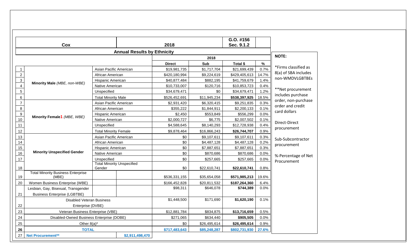|                  |                                                    |                                             |                                    |               |              | G.O. #156     |       |                                         |
|------------------|----------------------------------------------------|---------------------------------------------|------------------------------------|---------------|--------------|---------------|-------|-----------------------------------------|
|                  | Cox                                                |                                             | Sec. 9.1.2<br>2018                 |               |              |               |       |                                         |
|                  |                                                    |                                             | <b>Annual Results by Ethnicity</b> |               |              |               |       | <b>NOTE:</b>                            |
|                  |                                                    |                                             |                                    |               | 2018         |               |       |                                         |
|                  |                                                    |                                             |                                    | <b>Direct</b> | Sub          | Total \$      | $\%$  | *Firms classified as                    |
| $\mathbf{1}$     |                                                    | Asian Pacific American                      |                                    | \$19,981,735  | \$1,717,704  | \$21,699,439  | 0.7%  | 8(a) of SBA includes                    |
| $\sqrt{2}$       |                                                    | African American                            |                                    | \$420,180,994 | \$9,224,619  | \$429,405,613 | 14.7% | non-WMDVLGBTBEs                         |
| $\mathbf{3}$     | Minority Male (MBE, non-WBE)                       | Hispanic American                           |                                    | \$40,877,484  | \$882,195    | \$41,759,679  | 1.4%  |                                         |
| $\overline{4}$   | $\overline{5}$<br>$\,6\,$                          | Native American                             |                                    | \$10,733,007  | \$120,716    | \$10,853,723  | 0.4%  |                                         |
|                  |                                                    | Unspecified                                 |                                    | \$34,679,471  | \$0          | \$34,679,471  | 1.2%  | **Net procurement                       |
|                  |                                                    | <b>Total Minority Male</b>                  |                                    | \$526,452,691 | \$11,945,234 | \$538,397,925 | 18.5% | includes purchase                       |
| $\overline{7}$   |                                                    | Asian Pacific American                      |                                    | \$2,931,420   | \$6,320,415  | \$9,251,835   | 0.3%  | order, non-purchase<br>order and credit |
| $\bf8$           |                                                    | African American                            |                                    | \$355,222     | \$1,844,911  | \$2,200,133   | 0.1%  |                                         |
| $\boldsymbol{9}$ |                                                    | Hispanic American                           |                                    | \$2,450       | \$553,849    | \$556,299     | 0.0%  | card dollars                            |
| 10               | Minority Female1 (MBE, WBE)                        | Native American                             |                                    | \$2,000,727   | \$6,775      | \$2,007,502   | 0.1%  |                                         |
| 11               |                                                    | Unspecified                                 |                                    | \$4,588,645   | \$8,140,293  | \$12,728,938  | 0.4%  | Direct-Direct                           |
| 12               |                                                    | <b>Total Minority Female</b>                |                                    | \$9,878,464   | \$16,866,243 | \$26,744,707  | 0.9%  | procurement                             |
| 13               |                                                    | Asian Pacific American                      |                                    | \$0           | \$9,107,611  | \$9,107,611   | 0.3%  |                                         |
| 14               |                                                    | African American                            |                                    | \$0           | \$4,487,128  | \$4,487,128   | 0.2%  | Sub-Subcontractor                       |
| 15               |                                                    | Hispanic American                           |                                    | \$0           | \$7,887,651  | \$7,887,651   | 0.3%  | procurement                             |
| 16               | <b>Minority Unspecified Gender</b>                 | Native American                             |                                    | \$0           | \$870,686    | \$870,686     | 0.0%  |                                         |
| 17               |                                                    | Unspecified                                 |                                    | \$0           | \$257,665    | \$257,665     | 0.0%  | %-Percentage of Net                     |
| 18               |                                                    | <b>Total Minority Unspecified</b><br>Gender |                                    | \$0           | \$22,610,741 | \$22,610,741  | 0.8%  | Procurement                             |
| 19               | <b>Total Minority Business Enterprise</b><br>(MBE) |                                             |                                    | \$536,331,155 | \$35,654,058 | \$571,985,213 | 19.6% |                                         |
| 20               | Women Business Enterprise (WBE)                    |                                             |                                    | \$166,452,828 | \$20,811,532 | \$187,264,360 | 6.4%  |                                         |
|                  | Lesbian, Gay, Bisexual, Transgender                |                                             |                                    | \$98,311      | \$646,078    | \$744,389     | 0.0%  |                                         |
| 21               | <b>Business Enterprise (LGBTBE)</b>                |                                             |                                    |               |              |               |       |                                         |
|                  | <b>Disabled Veteran Business</b>                   |                                             |                                    | \$1,448,500   | \$171,690    | \$1,620,190   | 0.1%  |                                         |
| 22               | Enterprise (DVBE)                                  |                                             |                                    |               |              |               |       |                                         |
| 23               | Veteran Business Enterprise (VBE)                  |                                             |                                    | \$12,881,784  | \$834,875    | \$13,716,659  | 0.5%  |                                         |
| 24               | Disabled-Owned Business Enterprise (DOBE)          |                                             |                                    | \$271,065     | \$634,440    | \$905,505     | 0.0%  |                                         |
| 25               | Other $8(a)^*$                                     |                                             |                                    | \$0           | \$26,495,614 | \$26,495,614  | 0.9%  |                                         |
| 26               | <b>TOTAL</b>                                       |                                             |                                    | \$717,483,643 | \$85,248,287 | \$802,731,930 | 27.6% |                                         |
| 27               | <b>Net Procurement**</b>                           |                                             | \$2,911,498,470                    |               |              |               |       |                                         |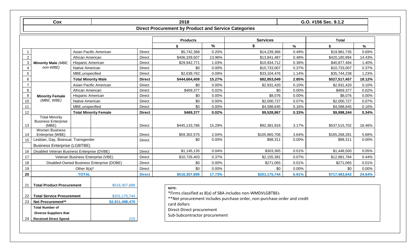|                  | Cox                                                          |                            |                                           |               | 2018                                                        |        |                                                                                                                                       |       | G.O. #156 Sec. 9.1.2 |        |
|------------------|--------------------------------------------------------------|----------------------------|-------------------------------------------|---------------|-------------------------------------------------------------|--------|---------------------------------------------------------------------------------------------------------------------------------------|-------|----------------------|--------|
|                  |                                                              |                            |                                           |               | <b>Direct Procurement by Product and Service Categories</b> |        |                                                                                                                                       |       |                      |        |
|                  |                                                              |                            |                                           |               | <b>Products</b>                                             |        | <b>Services</b>                                                                                                                       |       | <b>Total</b>         |        |
|                  |                                                              |                            |                                           |               | \$                                                          | $\%$   | \$                                                                                                                                    | $\%$  | \$                   | $\%$   |
| -1               |                                                              |                            | Asian Pacific American                    | <b>Direct</b> | \$5,742,368                                                 | 0.20%  | \$14,239,366                                                                                                                          | 0.49% | \$19,981,735         | 0.69%  |
| $\overline{2}$   |                                                              | African American           |                                           | <b>Direct</b> | \$406,339,507                                               | 13.96% | \$13,841,487                                                                                                                          | 0.48% | \$420,180,994        | 14.43% |
| 3                | <b>Minority Male (MBE,</b>                                   | Hispanic American          |                                           | Direct        | \$29,942,771                                                | 1.03%  | \$10,934,712                                                                                                                          | 0.38% | \$40,877,484         | 1.40%  |
| $\overline{4}$   | non-WBE)                                                     | Native American            |                                           | <b>Direct</b> | \$0                                                         | 0.00%  | \$10,733,007                                                                                                                          | 0.37% | \$10,733,007         | 0.37%  |
| $\sqrt{5}$       |                                                              | MBE, unspecified           |                                           | <b>Direct</b> | \$2,639,762                                                 | 0.09%  | \$33,104,476                                                                                                                          | 1.14% | \$35,744,238         | 1.23%  |
| 6                |                                                              | <b>Total Minority Male</b> |                                           | <b>Direct</b> | \$444,664,409                                               | 15.27% | \$82,853,049                                                                                                                          | 2.85% | \$527,517,457        | 18.12% |
| $\overline{7}$   |                                                              |                            | Asian Pacific American                    | <b>Direct</b> | \$0                                                         | 0.00%  | \$2,931,420                                                                                                                           | 0.10% | \$2,931,420          | 0.10%  |
| $\bf 8$          |                                                              | African American           |                                           | <b>Direct</b> | \$469,377                                                   | 0.02%  | \$0                                                                                                                                   | 0.00% | \$469,377            | 0.02%  |
| $\boldsymbol{9}$ | <b>Minority Female</b>                                       | Hispanic American          |                                           | <b>Direct</b> | \$0                                                         | 0.00%  | \$8,076                                                                                                                               | 0.00% | \$8,076              | 0.00%  |
| 10               | (MBE, WBE)                                                   | Native American            |                                           | <b>Direct</b> | \$0                                                         | 0.00%  | \$2,000,727                                                                                                                           | 0.07% | \$2,000,727          | 0.07%  |
| 11               |                                                              | MBE, unspecified           |                                           | <b>Direct</b> | \$0                                                         | 0.00%  | \$4,588,645                                                                                                                           | 0.16% | \$4,588,645          | 0.16%  |
| 12               |                                                              |                            | <b>Total Minority Female</b>              | <b>Direct</b> | \$469,377                                                   | 0.02%  | \$9,528,867                                                                                                                           | 0.33% | \$9,998,244          | 0.34%  |
| 13               | <b>Total Minority</b><br><b>Business Enterprise</b><br>(MBE) |                            |                                           | <b>Direct</b> | \$445,133,786                                               | 15.29% | \$92,381,916                                                                                                                          | 3.17% | \$537,515,702        | 18.46% |
| 14               | <b>Women Business</b><br>Enterprise (WBE)                    |                            |                                           | <b>Direct</b> | \$59,302,575                                                | 2.04%  | \$105,965,706                                                                                                                         | 3.64% | \$165,268,281        | 5.68%  |
| 15               | Lesbian, Gay, Bisexual, Transgender                          |                            |                                           | <b>Direct</b> | \$0                                                         | 0.00%  | \$98,311                                                                                                                              | 0.00% | \$98,311             | 0.00%  |
|                  | <b>Business Enterprise (LGBTBE)</b>                          |                            |                                           |               |                                                             |        |                                                                                                                                       |       |                      |        |
| 16               | Disabled Veteran Business Enterprise (DVBE)                  |                            |                                           | Direct        | \$1,145,135                                                 | 0.04%  | \$303,365                                                                                                                             | 0.01% | \$1,448,500          | 0.05%  |
| 17               |                                                              |                            | Veteran Business Enterprise (VBE)         | <b>Direct</b> | \$10,726,403                                                | 0.37%  | \$2,155,381                                                                                                                           | 0.07% | \$12,881,784         | 0.44%  |
| 18               |                                                              |                            | Disabled-Owned Business Enterprise (DOBE) | <b>Direct</b> | \$0                                                         | 0.00%  | \$271,065                                                                                                                             | 0.01% | \$271,065            | 0.01%  |
| 19               |                                                              | Other $8(a)^*$             |                                           | <b>Direct</b> | \$0                                                         | 0.00%  | \$0                                                                                                                                   | 0.00% | \$0                  | 0.00%  |
| 20               |                                                              | <b>TOTAL</b>               |                                           | <b>Direct</b> | \$516,307,899                                               | 17.73% | \$201,175,744                                                                                                                         | 6.91% | \$717,483,643        | 24.64% |
| 21               | <b>Total Product Procurement</b>                             |                            | \$516,307,899                             |               | NOTE:                                                       |        |                                                                                                                                       |       |                      |        |
| 22               | <b>Total Service Procurement</b>                             |                            | \$201,175,744                             |               |                                                             |        | *Firms classified as 8(a) of SBA includes non-WMDVLGBTBEs<br>**Net procurement includes purchase order, non-purchase order and credit |       |                      |        |
| 23               | <b>Net Procurement**</b>                                     |                            | \$2,911,498,470                           |               | ومروالملم لمعروم                                            |        |                                                                                                                                       |       |                      |        |

\*\*Net procure<br>card dollars

215

**Total Number of** 

**Diverse Suppliers that**  24 **Received Direct Spend** Direct-Direct procurement

Sub-Subcontractor procurement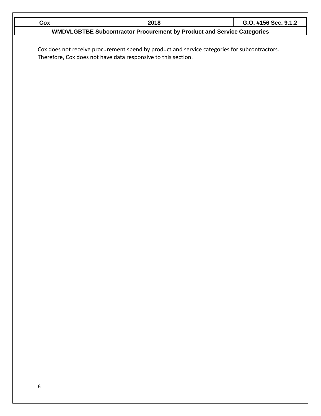| Cox | 2018                                                                                         | G.O. #156 Sec. 9.1.2 |
|-----|----------------------------------------------------------------------------------------------|----------------------|
|     | <b>WMDVLGBTBE Subcontractor Procurement by Product and Service Categories</b>                |                      |
|     |                                                                                              |                      |
|     | Cox does not receive procurement spend by product and service categories for subcontractors. |                      |
|     | Therefore, Cox does not have data responsive to this section.                                |                      |
|     |                                                                                              |                      |
|     |                                                                                              |                      |
|     |                                                                                              |                      |
|     |                                                                                              |                      |
|     |                                                                                              |                      |
|     |                                                                                              |                      |
|     |                                                                                              |                      |
|     |                                                                                              |                      |
|     |                                                                                              |                      |
|     |                                                                                              |                      |
|     |                                                                                              |                      |
|     |                                                                                              |                      |
|     |                                                                                              |                      |
|     |                                                                                              |                      |
|     |                                                                                              |                      |
|     |                                                                                              |                      |
|     |                                                                                              |                      |
|     |                                                                                              |                      |
|     |                                                                                              |                      |
|     |                                                                                              |                      |
|     |                                                                                              |                      |
|     |                                                                                              |                      |
|     |                                                                                              |                      |
|     |                                                                                              |                      |
|     |                                                                                              |                      |
|     |                                                                                              |                      |
|     |                                                                                              |                      |
|     |                                                                                              |                      |
|     |                                                                                              |                      |
|     |                                                                                              |                      |
|     |                                                                                              |                      |
|     |                                                                                              |                      |
|     |                                                                                              |                      |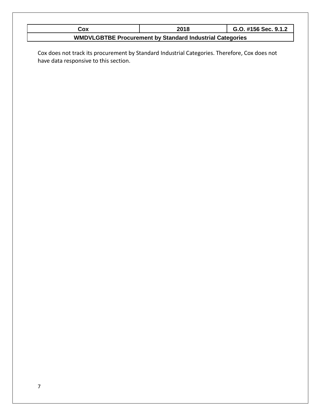| Cox | 2018                                                            | G.O. #156 Sec. 9.1.2 |
|-----|-----------------------------------------------------------------|----------------------|
|     | <b>WMDVLGBTBE Procurement by Standard Industrial Categories</b> |                      |

Cox does not track its procurement by Standard Industrial Categories. Therefore, Cox does not have data responsive to this section.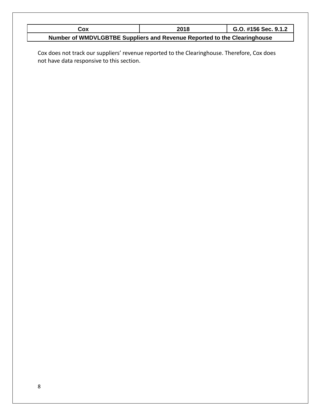| Cox                                                                      | 2018 | G.O. #156 Sec. 9.1.2 |
|--------------------------------------------------------------------------|------|----------------------|
| Number of WMDVLGBTBE Suppliers and Revenue Reported to the Clearinghouse |      |                      |

Cox does not track our suppliers' revenue reported to the Clearinghouse. Therefore, Cox does not have data responsive to this section.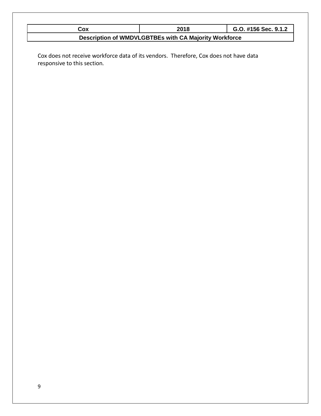| Cox | 2018                                                  | G.O. #156 Sec. 9.1.2 |
|-----|-------------------------------------------------------|----------------------|
|     | Description of WMDVLGBTBEs with CA Majority Workforce |                      |

Cox does not receive workforce data of its vendors. Therefore, Cox does not have data responsive to this section*.*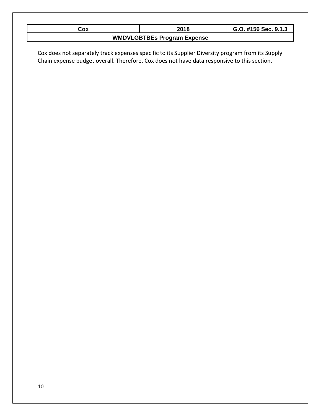| Cox                                                                                               | 2018                               | G.O. #156 Sec. 9.1.3 |  |
|---------------------------------------------------------------------------------------------------|------------------------------------|----------------------|--|
|                                                                                                   | <b>WMDVLGBTBEs Program Expense</b> |                      |  |
|                                                                                                   |                                    |                      |  |
| Cox does not separately track expenses specific to its Supplier Diversity program from its Supply |                                    |                      |  |
| Chain expense budget overall. Therefore, Cox does not have data responsive to this section.       |                                    |                      |  |
|                                                                                                   |                                    |                      |  |
|                                                                                                   |                                    |                      |  |
|                                                                                                   |                                    |                      |  |
|                                                                                                   |                                    |                      |  |
|                                                                                                   |                                    |                      |  |
|                                                                                                   |                                    |                      |  |
|                                                                                                   |                                    |                      |  |
|                                                                                                   |                                    |                      |  |
|                                                                                                   |                                    |                      |  |
|                                                                                                   |                                    |                      |  |
|                                                                                                   |                                    |                      |  |
|                                                                                                   |                                    |                      |  |
|                                                                                                   |                                    |                      |  |
|                                                                                                   |                                    |                      |  |
|                                                                                                   |                                    |                      |  |
|                                                                                                   |                                    |                      |  |
|                                                                                                   |                                    |                      |  |
|                                                                                                   |                                    |                      |  |
|                                                                                                   |                                    |                      |  |
|                                                                                                   |                                    |                      |  |
|                                                                                                   |                                    |                      |  |
|                                                                                                   |                                    |                      |  |
|                                                                                                   |                                    |                      |  |
|                                                                                                   |                                    |                      |  |
|                                                                                                   |                                    |                      |  |
|                                                                                                   |                                    |                      |  |
|                                                                                                   |                                    |                      |  |
|                                                                                                   |                                    |                      |  |
|                                                                                                   |                                    |                      |  |
|                                                                                                   |                                    |                      |  |
|                                                                                                   |                                    |                      |  |
|                                                                                                   |                                    |                      |  |
|                                                                                                   |                                    |                      |  |
|                                                                                                   |                                    |                      |  |
|                                                                                                   |                                    |                      |  |
|                                                                                                   |                                    |                      |  |
|                                                                                                   |                                    |                      |  |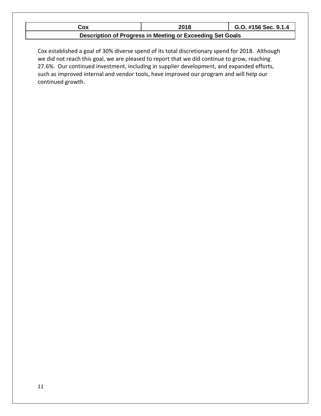| Cox                                                       | 2018 | G.O. #156 Sec. 9.1.4 |  |
|-----------------------------------------------------------|------|----------------------|--|
| Description of Progress in Meeting or Exceeding Set Goals |      |                      |  |

Cox established a goal of 30% diverse spend of its total discretionary spend for 2018. Although we did not reach this goal, we are pleased to report that we did continue to grow, reaching 27.6%. Our continued investment, including in supplier development, and expanded efforts, such as improved internal and vendor tools, have improved our program and will help our continued growth.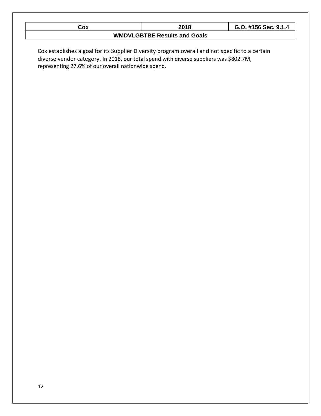| Cox                                                                                                                                           | 2018                                | G.O. #156 Sec. 9.1.4 |
|-----------------------------------------------------------------------------------------------------------------------------------------------|-------------------------------------|----------------------|
|                                                                                                                                               | <b>WMDVLGBTBE Results and Goals</b> |                      |
|                                                                                                                                               |                                     |                      |
| Cox establishes a goal for its Supplier Diversity program overall and not specific to a certain                                               |                                     |                      |
| diverse vendor category. In 2018, our total spend with diverse suppliers was \$802.7M,<br>representing 27.6% of our overall nationwide spend. |                                     |                      |
|                                                                                                                                               |                                     |                      |
|                                                                                                                                               |                                     |                      |
|                                                                                                                                               |                                     |                      |
|                                                                                                                                               |                                     |                      |
|                                                                                                                                               |                                     |                      |
|                                                                                                                                               |                                     |                      |
|                                                                                                                                               |                                     |                      |
|                                                                                                                                               |                                     |                      |
|                                                                                                                                               |                                     |                      |
|                                                                                                                                               |                                     |                      |
|                                                                                                                                               |                                     |                      |
|                                                                                                                                               |                                     |                      |
|                                                                                                                                               |                                     |                      |
|                                                                                                                                               |                                     |                      |
|                                                                                                                                               |                                     |                      |
|                                                                                                                                               |                                     |                      |
|                                                                                                                                               |                                     |                      |
|                                                                                                                                               |                                     |                      |
|                                                                                                                                               |                                     |                      |
|                                                                                                                                               |                                     |                      |
|                                                                                                                                               |                                     |                      |
|                                                                                                                                               |                                     |                      |
|                                                                                                                                               |                                     |                      |
|                                                                                                                                               |                                     |                      |
|                                                                                                                                               |                                     |                      |
|                                                                                                                                               |                                     |                      |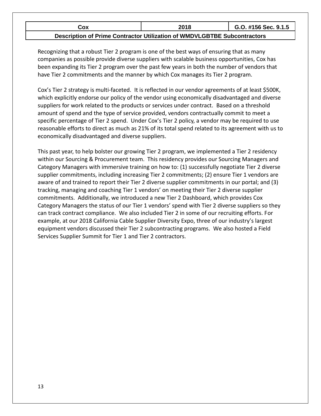| Cox                                                                      | 2018 | G.O. #156 Sec. 9.1.5 |  |  |
|--------------------------------------------------------------------------|------|----------------------|--|--|
| Description of Prime Contractor Utilization of WMDVLGBTBE Subcontractors |      |                      |  |  |

Recognizing that a robust Tier 2 program is one of the best ways of ensuring that as many companies as possible provide diverse suppliers with scalable business opportunities, Cox has been expanding its Tier 2 program over the past few years in both the number of vendors that have Tier 2 commitments and the manner by which Cox manages its Tier 2 program.

Cox's Tier 2 strategy is multi-faceted. It is reflected in our vendor agreements of at least \$500K, which explicitly endorse our policy of the vendor using economically disadvantaged and diverse suppliers for work related to the products or services under contract. Based on a threshold amount of spend and the type of service provided, vendors contractually commit to meet a specific percentage of Tier 2 spend. Under Cox's Tier 2 policy, a vendor may be required to use reasonable efforts to direct as much as 21% of its total spend related to its agreement with us to economically disadvantaged and diverse suppliers.

This past year, to help bolster our growing Tier 2 program, we implemented a Tier 2 residency within our Sourcing & Procurement team. This residency provides our Sourcing Managers and Category Managers with immersive training on how to: (1) successfully negotiate Tier 2 diverse supplier commitments, including increasing Tier 2 commitments; (2) ensure Tier 1 vendors are aware of and trained to report their Tier 2 diverse supplier commitments in our portal; and (3) tracking, managing and coaching Tier 1 vendors' on meeting their Tier 2 diverse supplier commitments. Additionally, we introduced a new Tier 2 Dashboard, which provides Cox Category Managers the status of our Tier 1 vendors' spend with Tier 2 diverse suppliers so they can track contract compliance. We also included Tier 2 in some of our recruiting efforts. For example, at our 2018 California Cable Supplier Diversity Expo, three of our industry's largest equipment vendors discussed their Tier 2 subcontracting programs. We also hosted a Field Services Supplier Summit for Tier 1 and Tier 2 contractors.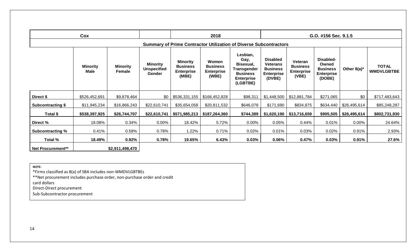|                          | Cox                     |                           |                                                 |                                                           | 2018                                                   |                                                                                                  |                                                                                      |                                                          | G.O. #156 Sec. 9.1.5                                                 |                |                                   |
|--------------------------|-------------------------|---------------------------|-------------------------------------------------|-----------------------------------------------------------|--------------------------------------------------------|--------------------------------------------------------------------------------------------------|--------------------------------------------------------------------------------------|----------------------------------------------------------|----------------------------------------------------------------------|----------------|-----------------------------------|
|                          |                         |                           |                                                 |                                                           |                                                        | <b>Summary of Prime Contractor Utilization of Diverse Subcontractors</b>                         |                                                                                      |                                                          |                                                                      |                |                                   |
|                          | <b>Minority</b><br>Male | <b>Minority</b><br>Female | <b>Minority</b><br><b>Unspecified</b><br>Gender | <b>Minority</b><br><b>Business</b><br>Enterprise<br>(MBE) | Women<br><b>Business</b><br><b>Enterprise</b><br>(WBE) | Lesbian,<br>Gay,<br>Bisexual,<br>Transgender<br><b>Business</b><br><b>Enterprise</b><br>(LGBTBE) | <b>Disabled</b><br><b>Veterans</b><br><b>Business</b><br><b>Enterprise</b><br>(DVBE) | Veteran<br><b>Business</b><br><b>Enterprise</b><br>(VBE) | Disabled-<br>Owned<br><b>Business</b><br><b>Enterprise</b><br>(DOBE) | Other $8(a)^*$ | <b>TOTAL</b><br><b>WMDVLGBTBE</b> |
| Direct \$                | \$526,452,691           | \$9,878,464               | \$0                                             | \$536,331,155                                             | \$166,452,828                                          | \$98,311                                                                                         | \$1,448,500                                                                          | \$12,881,784                                             | \$271,065                                                            | \$0            | \$717,483,643                     |
| <b>Subcontracting \$</b> | \$11,945,234            | \$16,866,243              | \$22,610,741                                    | \$35,654,058                                              | \$20,811,532                                           | \$646,078                                                                                        | \$171,690                                                                            | \$834,875                                                | \$634,440                                                            | \$26,495,614   | \$85,248,287                      |
| Total \$                 | \$538,397,925           | \$26,744,707              | \$22,610,741                                    |                                                           | $$571,985,213$   \$187,264,360                         | \$744,389                                                                                        | \$1,620,190                                                                          | \$13,716,659                                             | \$905,505                                                            | \$26,495,614   | \$802,731,930                     |
| Direct %                 | 18.08%                  | 0.34%                     | $0.00\%$                                        | 18.42%                                                    | 5.72%                                                  | $0.00\%$                                                                                         | 0.05%                                                                                | 0.44%                                                    | 0.01%                                                                | 0.00%          | 24.64%                            |
| <b>Subcontracting %</b>  | 0.41%                   | 0.58%                     | 0.78%                                           | 1.22%                                                     | 0.71%                                                  | 0.02%                                                                                            | 0.01%                                                                                | 0.03%                                                    | 0.02%                                                                | 0.91%          | 2.93%                             |
| Total %                  | 18.49%                  | 0.92%                     | 0.78%                                           | 19.65%                                                    | 6.43%                                                  | 0.03%                                                                                            | 0.06%                                                                                | 0.47%                                                    | 0.03%                                                                | 0.91%          | 27.6%                             |
| <b>Net Procurement**</b> |                         | \$2,911,498,470           |                                                 |                                                           |                                                        |                                                                                                  |                                                                                      |                                                          |                                                                      |                |                                   |

**NOTE:** \*Firms classified as 8(a) of SBA includes non-WMDVLGBTBEs \*\*Net procurement includes purchase order, non-purchase order and credit card dollars Direct-Direct procurement Sub-Subcontractor procurement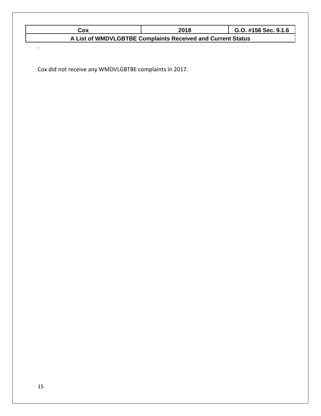| Cox                                                         | 2018 | G.O. #156 Sec. 9.1.6 |  |  |
|-------------------------------------------------------------|------|----------------------|--|--|
| A List of WMDVLGBTBE Complaints Received and Current Status |      |                      |  |  |

Cox did not receive any WMDVLGBTBE complaints in 2017.

*.*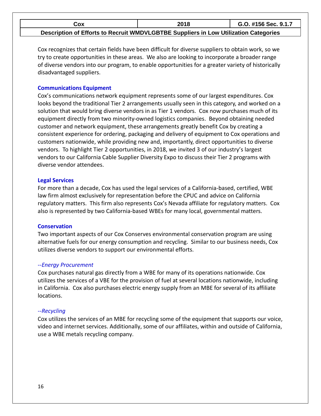| Cox                                                                                  | 2018 | G.O. #156 Sec. 9.1.7 |
|--------------------------------------------------------------------------------------|------|----------------------|
| Description of Efforts to Recruit WMDVLGBTBE Suppliers in Low Utilization Categories |      |                      |

Cox recognizes that certain fields have been difficult for diverse suppliers to obtain work, so we try to create opportunities in these areas. We also are looking to incorporate a broader range of diverse vendors into our program, to enable opportunities for a greater variety of historically disadvantaged suppliers.

#### **Communications Equipment**

Cox's communications network equipment represents some of our largest expenditures. Cox looks beyond the traditional Tier 2 arrangements usually seen in this category, and worked on a solution that would bring diverse vendors in as Tier 1 vendors. Cox now purchases much of its equipment directly from two minority-owned logistics companies. Beyond obtaining needed customer and network equipment, these arrangements greatly benefit Cox by creating a consistent experience for ordering, packaging and delivery of equipment to Cox operations and customers nationwide, while providing new and, importantly, direct opportunities to diverse vendors. To highlight Tier 2 opportunities, in 2018, we invited 3 of our industry's largest vendors to our California Cable Supplier Diversity Expo to discuss their Tier 2 programs with diverse vendor attendees.

#### **Legal Services**

For more than a decade, Cox has used the legal services of a California-based, certified, WBE law firm almost exclusively for representation before the CPUC and advice on California regulatory matters. This firm also represents Cox's Nevada affiliate for regulatory matters. Cox also is represented by two California-based WBEs for many local, governmental matters.

#### **Conservation**

Two important aspects of our Cox Conserves environmental conservation program are using alternative fuels for our energy consumption and recycling. Similar to our business needs, Cox utilizes diverse vendors to support our environmental efforts.

#### *--Energy Procurement*

Cox purchases natural gas directly from a WBE for many of its operations nationwide. Cox utilizes the services of a VBE for the provision of fuel at several locations nationwide, including in California. Cox also purchases electric energy supply from an MBE for several of its affiliate locations.

#### *--Recycling*

Cox utilizes the services of an MBE for recycling some of the equipment that supports our voice, video and internet services. Additionally, some of our affiliates, within and outside of California, use a WBE metals recycling company.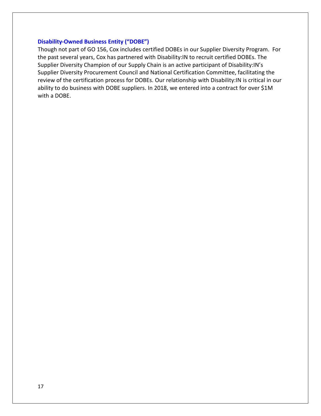#### **Disability-Owned Business Entity ("DOBE")**

Though not part of GO 156, Cox includes certified DOBEs in our Supplier Diversity Program. For the past several years, Cox has partnered with Disability:IN to recruit certified DOBEs. The Supplier Diversity Champion of our Supply Chain is an active participant of Disability:IN's Supplier Diversity Procurement Council and National Certification Committee, facilitating the review of the certification process for DOBEs. Our relationship with Disability:IN is critical in our ability to do business with DOBE suppliers. In 2018, we entered into a contract for over \$1M with a DOBE.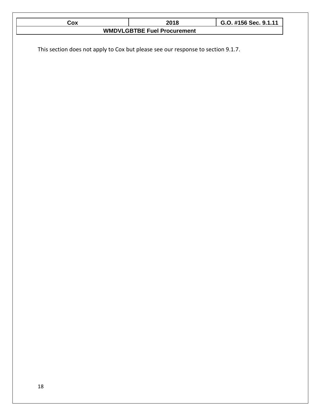| $\frac{Cox}{2}$                                                                  | <u>2018</u>                        | G.O. #156 Sec. 9.1.11 |
|----------------------------------------------------------------------------------|------------------------------------|-----------------------|
|                                                                                  | <b>WMDVLGBTBE Fuel Procurement</b> |                       |
| This section does not apply to Cox but please see our response to section 9.1.7. |                                    |                       |
|                                                                                  |                                    |                       |
|                                                                                  |                                    |                       |
|                                                                                  |                                    |                       |
|                                                                                  |                                    |                       |
|                                                                                  |                                    |                       |
|                                                                                  |                                    |                       |
|                                                                                  |                                    |                       |
|                                                                                  |                                    |                       |
|                                                                                  |                                    |                       |
|                                                                                  |                                    |                       |
|                                                                                  |                                    |                       |
|                                                                                  |                                    |                       |

Г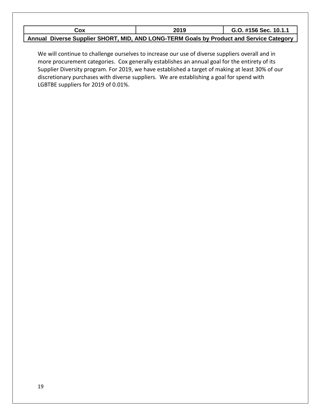| Cox                                                                                     | 2019 | G.O. #156 Sec. 10.1.1 |
|-----------------------------------------------------------------------------------------|------|-----------------------|
| Annual Diverse Supplier SHORT, MID, AND LONG-TERM Goals by Product and Service Category |      |                       |

We will continue to challenge ourselves to increase our use of diverse suppliers overall and in more procurement categories. Cox generally establishes an annual goal for the entirety of its Supplier Diversity program. For 2019, we have established a target of making at least 30% of our discretionary purchases with diverse suppliers. We are establishing a goal for spend with LGBTBE suppliers for 2019 of 0.01%.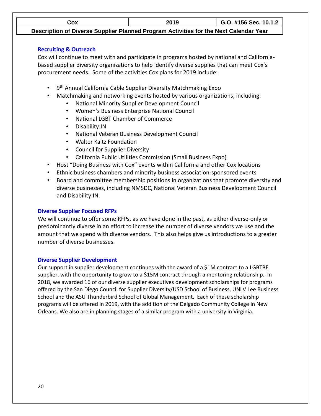**Cox 2019 G.O. #156 Sec. 10.1.2**

**Description of Diverse Supplier Planned Program Activities for the Next Calendar Year**

### **Recruiting & Outreach**

Cox will continue to meet with and participate in programs hosted by national and Californiabased supplier diversity organizations to help identify diverse supplies that can meet Cox's procurement needs. Some of the activities Cox plans for 2019 include:

- 9<sup>th</sup> Annual California Cable Supplier Diversity Matchmaking Expo
- Matchmaking and networking events hosted by various organizations, including:
	- National Minority Supplier Development Council
	- Women's Business Enterprise National Council
	- National LGBT Chamber of Commerce
	- Disability:IN
	- National Veteran Business Development Council
	- Walter Kaitz Foundation
	- Council for Supplier Diversity
	- California Public Utilities Commission (Small Business Expo)
- Host "Doing Business with Cox" events within California and other Cox locations
- Ethnic business chambers and minority business association-sponsored events
- Board and committee membership positions in organizations that promote diversity and diverse businesses, including NMSDC, National Veteran Business Development Council and Disability:IN.

# **Diverse Supplier Focused RFPs**

We will continue to offer some RFPs, as we have done in the past, as either diverse-only or predominantly diverse in an effort to increase the number of diverse vendors we use and the amount that we spend with diverse vendors. This also helps give us introductions to a greater number of diverse businesses.

# **Diverse Supplier Development**

Our support in supplier development continues with the award of a \$1M contract to a LGBTBE supplier, with the opportunity to grow to a \$15M contract through a mentoring relationship. In 2018, we awarded 16 of our diverse supplier executives development scholarships for programs offered by the San Diego Council for Supplier Diversity/USD School of Business, UNLV Lee Business School and the ASU Thunderbird School of Global Management. Each of these scholarship programs will be offered in 2019, with the addition of the Delgado Community College in New Orleans. We also are in planning stages of a similar program with a university in Virginia.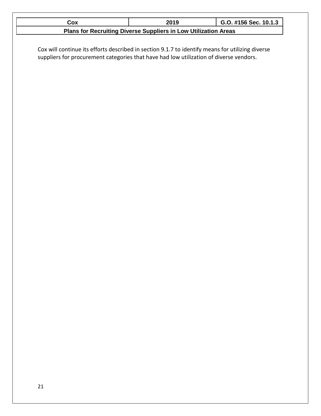| Cox                                                                                              | 2019                                                            | G.O. #156 Sec. 10.1.3 |
|--------------------------------------------------------------------------------------------------|-----------------------------------------------------------------|-----------------------|
|                                                                                                  | Plans for Recruiting Diverse Suppliers in Low Utilization Areas |                       |
|                                                                                                  |                                                                 |                       |
| Cox will continue its efforts described in section 9.1.7 to identify means for utilizing diverse |                                                                 |                       |
| suppliers for procurement categories that have had low utilization of diverse vendors.           |                                                                 |                       |
|                                                                                                  |                                                                 |                       |
|                                                                                                  |                                                                 |                       |
|                                                                                                  |                                                                 |                       |
|                                                                                                  |                                                                 |                       |
|                                                                                                  |                                                                 |                       |
|                                                                                                  |                                                                 |                       |
|                                                                                                  |                                                                 |                       |
|                                                                                                  |                                                                 |                       |
|                                                                                                  |                                                                 |                       |
|                                                                                                  |                                                                 |                       |
|                                                                                                  |                                                                 |                       |
|                                                                                                  |                                                                 |                       |
|                                                                                                  |                                                                 |                       |
|                                                                                                  |                                                                 |                       |
|                                                                                                  |                                                                 |                       |
|                                                                                                  |                                                                 |                       |
|                                                                                                  |                                                                 |                       |
|                                                                                                  |                                                                 |                       |
|                                                                                                  |                                                                 |                       |
|                                                                                                  |                                                                 |                       |
|                                                                                                  |                                                                 |                       |
|                                                                                                  |                                                                 |                       |
|                                                                                                  |                                                                 |                       |
|                                                                                                  |                                                                 |                       |
|                                                                                                  |                                                                 |                       |
|                                                                                                  |                                                                 |                       |
|                                                                                                  |                                                                 |                       |
|                                                                                                  |                                                                 |                       |
|                                                                                                  |                                                                 |                       |
|                                                                                                  |                                                                 |                       |
|                                                                                                  |                                                                 |                       |
|                                                                                                  |                                                                 |                       |
|                                                                                                  |                                                                 |                       |
|                                                                                                  |                                                                 |                       |
|                                                                                                  |                                                                 |                       |
|                                                                                                  |                                                                 |                       |
|                                                                                                  |                                                                 |                       |
|                                                                                                  |                                                                 |                       |
|                                                                                                  |                                                                 |                       |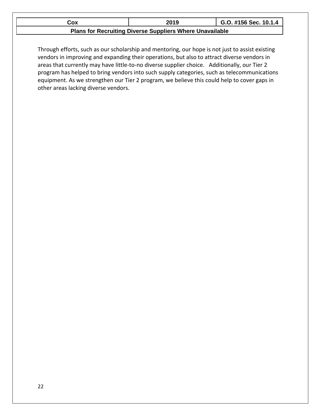| Cox                                                             | 2019 | G.O. #156 Sec. 10.1.4 |  |
|-----------------------------------------------------------------|------|-----------------------|--|
| <b>Plans for Recruiting Diverse Suppliers Where Unavailable</b> |      |                       |  |

Through efforts, such as our scholarship and mentoring, our hope is not just to assist existing vendors in improving and expanding their operations, but also to attract diverse vendors in areas that currently may have little-to-no diverse supplier choice. Additionally, our Tier 2 program has helped to bring vendors into such supply categories, such as telecommunications equipment. As we strengthen our Tier 2 program, we believe this could help to cover gaps in other areas lacking diverse vendors.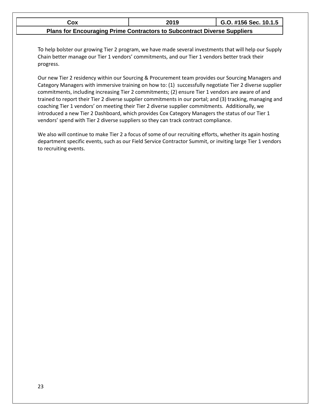| Cox                                                                             | 2019 | G.O. #156 Sec. 10.1.5 |  |  |
|---------------------------------------------------------------------------------|------|-----------------------|--|--|
| <b>Plans for Encouraging Prime Contractors to Subcontract Diverse Suppliers</b> |      |                       |  |  |

To help bolster our growing Tier 2 program, we have made several investments that will help our Supply Chain better manage our Tier 1 vendors' commitments, and our Tier 1 vendors better track their progress.

Our new Tier 2 residency within our Sourcing & Procurement team provides our Sourcing Managers and Category Managers with immersive training on how to: (1) successfully negotiate Tier 2 diverse supplier commitments, including increasing Tier 2 commitments; (2) ensure Tier 1 vendors are aware of and trained to report their Tier 2 diverse supplier commitments in our portal; and (3) tracking, managing and coaching Tier 1 vendors' on meeting their Tier 2 diverse supplier commitments. Additionally, we introduced a new Tier 2 Dashboard, which provides Cox Category Managers the status of our Tier 1 vendors' spend with Tier 2 diverse suppliers so they can track contract compliance.

We also will continue to make Tier 2 a focus of some of our recruiting efforts, whether its again hosting department specific events, such as our Field Service Contractor Summit, or inviting large Tier 1 vendors to recruiting events.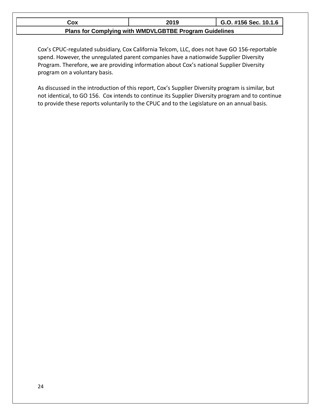| Cox                                                    | 2019 | G.O. #156 Sec. 10.1.6 |  |  |
|--------------------------------------------------------|------|-----------------------|--|--|
| Plans for Complying with WMDVLGBTBE Program Guidelines |      |                       |  |  |

Cox's CPUC-regulated subsidiary, Cox California Telcom, LLC, does not have GO 156-reportable spend. However, the unregulated parent companies have a nationwide Supplier Diversity Program. Therefore, we are providing information about Cox's national Supplier Diversity program on a voluntary basis.

As discussed in the introduction of this report, Cox's Supplier Diversity program is similar, but not identical, to GO 156. Cox intends to continue its Supplier Diversity program and to continue to provide these reports voluntarily to the CPUC and to the Legislature on an annual basis.